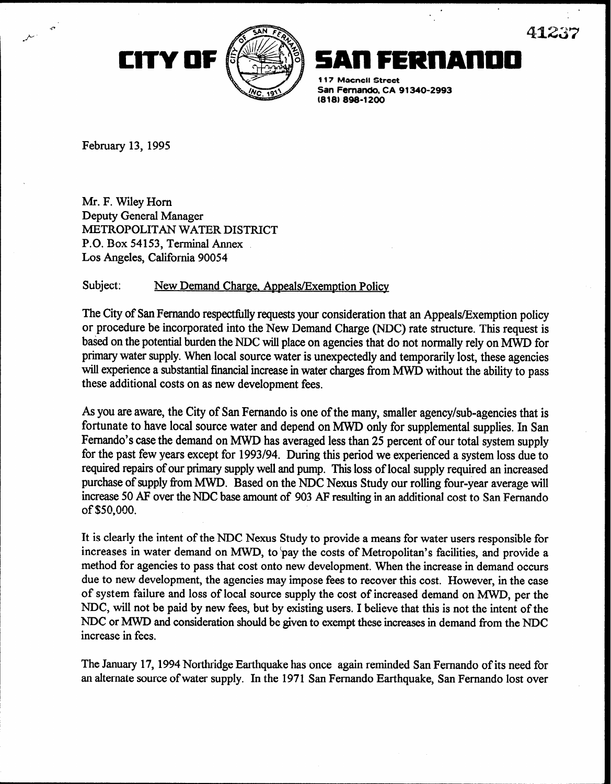



117 Macnell Street

San Fernando, CA 91340-2993 (818) 898-1200

February 13,1995

4

Mr. F. Wiley Horn Deputy General Manager METROPOLITAN WATER DISTRICT P.O. Box 54153, Terminal Annex Los Angeles, California 90054

## Subject: New Demand Charge, Appeals/Exemption Policy

The City of San Fernando respectfully requests your consideration that an Appeals/Exemption policy or procedure be incorporated into the New Demand Charge (NDC) rate structure. This request is based on the potential burden the NDC will place on agencies that do not normally rely on MWD for primary water supply. When local source water is unexpectedly and temporarily lost, these agencies will experience a substantial financial increase in water charges from MWD without the ability to pass these additional costs on as new development fees.

As you are aware, the City of San Fernando is one of the many, smaller agency/sub-agencies that is fortunate to have local source water and depend on MWD only for supplemental supplies. In San Fernando's case the demand on MWD has averaged less than 25 percent of our total system supply for the past few years except for 1993/94. During this period we experienced a system loss due to required repairs of our primary supply well and pump. This loss of local supply required an increased purchase of supply from MWD. Based on the NDC Nexus Study our rolling four-year average will increase 50 AF over the NDC base amount of 903 AF resulting in an additional cost to San Fernando of \$50,000.

It is clearly the intent of the NDC Nexus Study to provide a means for water users responsible for increases in water demand on MWD, to 'pay the costs of Metropolitan's facilities, and provide a method for agencies to pass that cost onto new development. When the increase in demand occurs due to new development, the agencies may impose fees to recover this cost. However, in the case of system failure and loss of local source supply the cost of increased demand on MWD, per the NDC, will not be paid by new fees, but by existing users. I believe that this is not the intent of the NDC or MWD and consideration should be given to exempt these increases in demand from the NDC increase in fees.

The January 17,1994 Northridge Earthquake has once again reminded San Fernando of its need for an alternate source of water supply. In the 1971 San Fernando Earthquake, San Fernando lost over